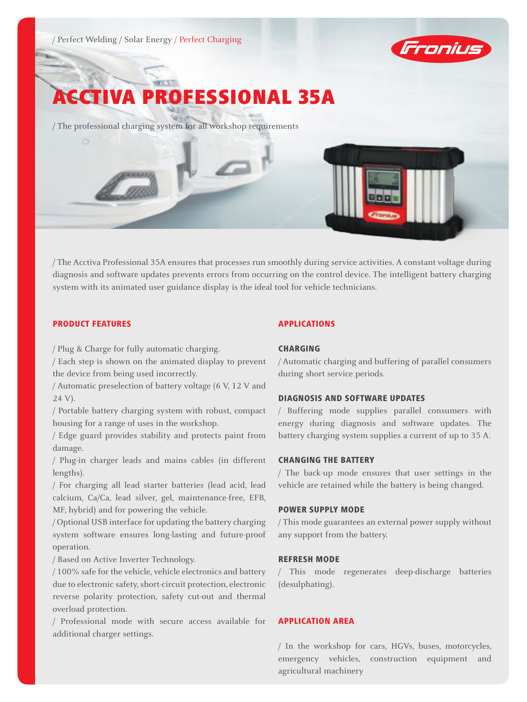

# ACCTIVA PROFESSIONAL 35A

/ The professional charging system for all workshop requirements

/ The Acctiva Professional 35A ensures that processes run smoothly during service activities. A constant voltage during diagnosis and software updates prevents errors from occurring on the control device. The intelligent battery charging system with its animated user guidance display is the ideal tool for vehicle technicians.

# PRODUCT FEATURES

/ Plug & Charge for fully automatic charging.

gggill

/ Each step is shown on the animated display to prevent the device from being used incorrectly.

/ Automatic preselection of battery voltage (6 V, 12 V and 24 V).

/ Portable battery charging system with robust, compact housing for a range of uses in the workshop.

/ Edge guard provides stability and protects paint from damage.

/ Plug-in charger leads and mains cables (in different lengths).

/ For charging all lead starter batteries (lead acid, lead calcium, Ca/Ca, lead silver, gel, maintenance-free, EFB, MF, hybrid) and for powering the vehicle.

/ Optional USB interface for updating the battery charging system software ensures long-lasting and future-proof operation.

/ Based on Active Inverter Technology.

/ 100% safe for the vehicle, vehicle electronics and battery due to electronic safety, short-circuit protection, electronic reverse polarity protection, safety cut-out and thermal overload protection.

/ Professional mode with secure access available for additional charger settings.

# APPLICATIONS

# **CHARGING**

/ Automatic charging and buffering of parallel consumers during short service periods.

# DIAGNOSIS AND SOFTWARE UPDATES

/ Buffering mode supplies parallel consumers with energy during diagnosis and software updates. The battery charging system supplies a current of up to 35 A.

# CHANGING THE BATTERY

/ The back-up mode ensures that user settings in the vehicle are retained while the battery is being changed.

#### POWER SUPPLY MODE

/ This mode guarantees an external power supply without any support from the battery.

# REFRESH MODE

/ This mode regenerates deep-discharge batteries (desulphating).

# APPLICATION AREA

/ In the workshop for cars, HGVs, buses, motorcycles, emergency vehicles, construction equipment and agricultural machinery